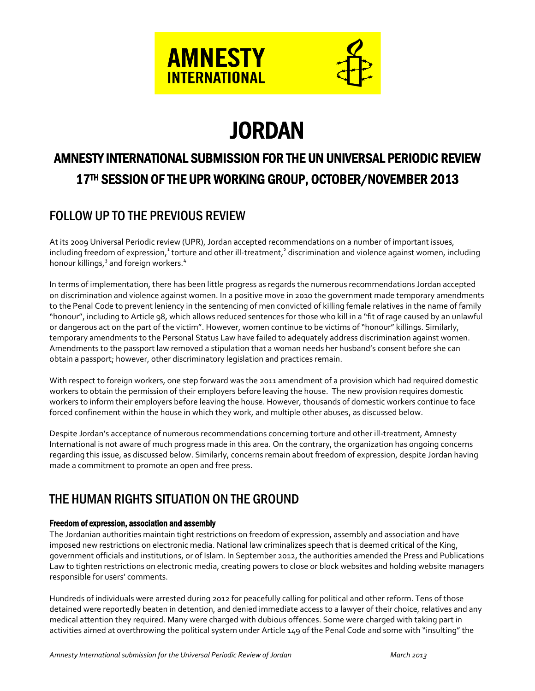



# **JORDAN**

## AMNESTY INTERNATIONAL SUBMISSION FOR THE UN UNIVERSAL PERIODIC REVIEW 17TH SESSION OF THE UPR WORKING GROUP, OCTOBER/NOVEMBER 2013

### FOLLOW UP TO THE PREVIOUS REVIEW

At its 2009 Universal Periodic review (UPR), Jordan accepted recommendations on a number of important issues, including freedom of expression,<sup>1</sup> torture and other ill-treatment,<sup>2</sup> discrimination and violence against women, including honour killings,<sup>3</sup> and foreign workers.<sup>4</sup>

In terms of implementation, there has been little progress as regards the numerous recommendations Jordan accepted on discrimination and violence against women. In a positive move in 2010 the government made temporary amendments to the Penal Code to prevent leniency in the sentencing of men convicted of killing female relatives in the name of family "honour", including to Article 98, which allows reduced sentences for those who kill in a "fit of rage caused by an unlawful or dangerous act on the part of the victim". However, women continue to be victims of "honour" killings. Similarly, temporary amendments to the Personal Status Law have failed to adequately address discrimination against women. Amendments to the passport law removed a stipulation that a woman needs her husband's consent before she can obtain a passport; however, other discriminatory legislation and practices remain.

With respect to foreign workers, one step forward was the 2011 amendment of a provision which had required domestic workers to obtain the permission of their employers before leaving the house. The new provision requires domestic workers to inform their employers before leaving the house. However, thousands of domestic workers continue to face forced confinement within the house in which they work, and multiple other abuses, as discussed below.

Despite Jordan's acceptance of numerous recommendations concerning torture and other ill-treatment, Amnesty International is not aware of much progress made in this area. On the contrary, the organization has ongoing concerns regarding this issue, as discussed below. Similarly, concerns remain about freedom of expression, despite Jordan having made a commitment to promote an open and free press.

### THE HUMAN RIGHTS SITUATION ON THE GROUND

### Freedom of expression, association and assembly

The Jordanian authorities maintain tight restrictions on freedom of expression, assembly and association and have imposed new restrictions on electronic media. National law criminalizes speech that is deemed critical of the King, government officials and institutions, or of Islam. In September 2012, the authorities amended the Press and Publications Law to tighten restrictions on electronic media, creating powers to close or block websites and holding website managers responsible for users' comments.

Hundreds of individuals were arrested during 2012 for peacefully calling for political and other reform. Tens of those detained were reportedly beaten in detention, and denied immediate access to a lawyer of their choice, relatives and any medical attention they required. Many were charged with dubious offences. Some were charged with taking part in activities aimed at overthrowing the political system under Article 149 of the Penal Code and some with "insulting" the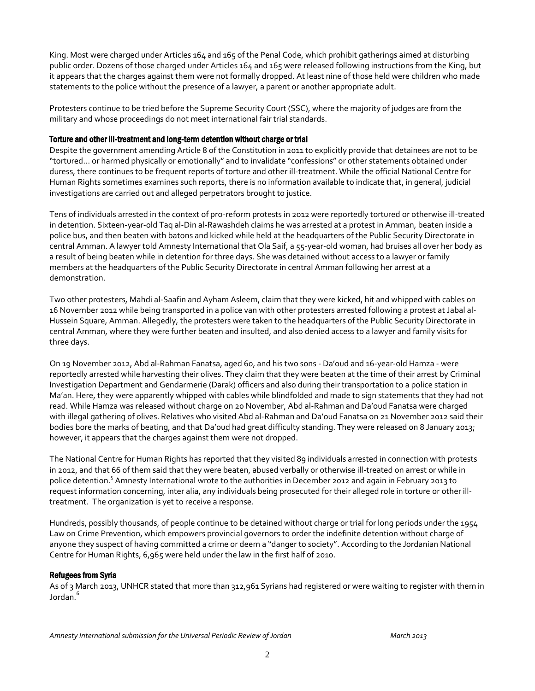King. Most were charged under Articles 164 and 165 of the Penal Code, which prohibit gatherings aimed at disturbing public order. Dozens of those charged under Articles 164 and 165 were released following instructions from the King, but it appears that the charges against them were not formally dropped. At least nine of those held were children who made statements to the police without the presence of a lawyer, a parent or another appropriate adult.

Protesters continue to be tried before the Supreme Security Court (SSC), where the majority of judges are from the military and whose proceedings do not meet international fair trial standards.

### Torture and other ill-treatment and long-term detention without charge or trial

Despite the government amending Article 8 of the Constitution in 2011 to explicitly provide that detainees are not to be "tortured… or harmed physically or emotionally" and to invalidate "confessions" or other statements obtained under duress, there continues to be frequent reports of torture and other ill-treatment. While the official National Centre for Human Rights sometimes examines such reports, there is no information available to indicate that, in general, judicial investigations are carried out and alleged perpetrators brought to justice.

Tens of individuals arrested in the context of pro-reform protests in 2012 were reportedly tortured or otherwise ill-treated in detention. Sixteen-year-old Taq al-Din al-Rawashdeh claims he was arrested at a protest in Amman, beaten inside a police bus, and then beaten with batons and kicked while held at the headquarters of the Public Security Directorate in central Amman. A lawyer told Amnesty International that Ola Saif, a 55-year-old woman, had bruises all over her body as a result of being beaten while in detention for three days. She was detained without access to a lawyer or family members at the headquarters of the Public Security Directorate in central Amman following her arrest at a demonstration.

Two other protesters, Mahdi al-Saafin and Ayham Asleem, claim that they were kicked, hit and whipped with cables on 16 November 2012 while being transported in a police van with other protesters arrested following a protest at Jabal al-Hussein Square, Amman. Allegedly, the protesters were taken to the headquarters of the Public Security Directorate in central Amman, where they were further beaten and insulted, and also denied access to a lawyer and family visits for three days.

On 19 November 2012, Abd al-Rahman Fanatsa, aged 60, and his two sons - Da'oud and 16-year-old Hamza - were reportedly arrested while harvesting their olives. They claim that they were beaten at the time of their arrest by Criminal Investigation Department and Gendarmerie (Darak) officers and also during their transportation to a police station in Ma'an. Here, they were apparently whipped with cables while blindfolded and made to sign statements that they had not read. While Hamza was released without charge on 20 November, Abd al-Rahman and Da'oud Fanatsa were charged with illegal gathering of olives. Relatives who visited Abd al-Rahman and Da'oud Fanatsa on 21 November 2012 said their bodies bore the marks of beating, and that Da'oud had great difficulty standing. They were released on 8 January 2013; however, it appears that the charges against them were not dropped.

The National Centre for Human Rights has reported that they visited 89 individuals arrested in connection with protests in 2012, and that 66 of them said that they were beaten, abused verbally or otherwise ill-treated on arrest or while in police detention.<sup>5</sup> Amnesty International wrote to the authorities in December 2012 and again in February 2013 to request information concerning, inter alia, any individuals being prosecuted for their alleged role in torture or other illtreatment. The organization is yet to receive a response.

Hundreds, possibly thousands, of people continue to be detained without charge or trial for long periods under the 1954 Law on Crime Prevention, which empowers provincial governors to order the indefinite detention without charge of anyone they suspect of having committed a crime or deem a "danger to society". According to the Jordanian National Centre for Human Rights, 6,965 were held under the law in the first half of 2010.

### Refugees from Syria

As of 3 March 2013, UNHCR stated that more than 312,961 Syrians had registered or were waiting to register with them in Jordan.<sup>6</sup>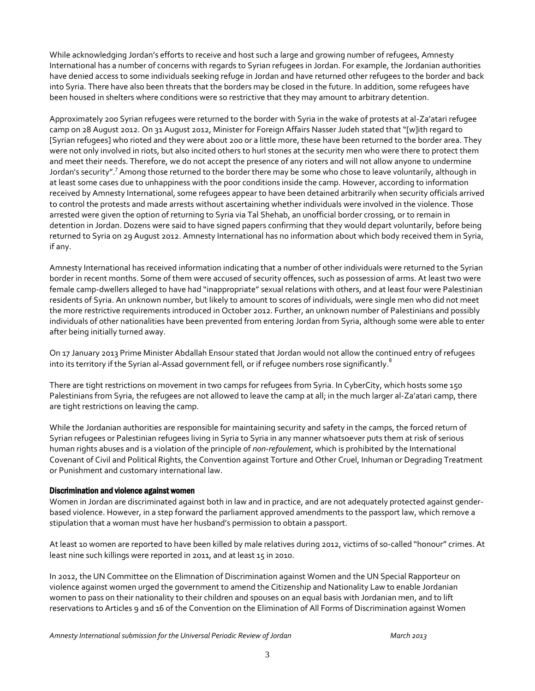While acknowledging Jordan's efforts to receive and host such a large and growing number of refugees, Amnesty International has a number of concerns with regards to Syrian refugees in Jordan. For example, the Jordanian authorities have denied access to some individuals seeking refuge in Jordan and have returned other refugees to the border and back into Syria. There have also been threats that the borders may be closed in the future. In addition, some refugees have been housed in shelters where conditions were so restrictive that they may amount to arbitrary detention.

Approximately 200 Syrian refugees were returned to the border with Syria in the wake of protests at al-Za'atari refugee camp on 28 August 2012. On 31 August 2012, Minister for Foreign Affairs Nasser Judeh stated that "[w]ith regard to [Syrian refugees] who rioted and they were about 200 or a little more, these have been returned to the border area. They were not only involved in riots, but also incited others to hurl stones at the security men who were there to protect them and meet their needs. Therefore, we do not accept the presence of any rioters and will not allow anyone to undermine Jordan's security".<sup>7</sup> Among those returned to the border there may be some who chose to leave voluntarily, although in at least some cases due to unhappiness with the poor conditions inside the camp. However, according to information received by Amnesty International, some refugees appear to have been detained arbitrarily when security officials arrived to control the protests and made arrests without ascertaining whether individuals were involved in the violence. Those arrested were given the option of returning to Syria via Tal Shehab, an unofficial border crossing, or to remain in detention in Jordan. Dozens were said to have signed papers confirming that they would depart voluntarily, before being returned to Syria on 29 August 2012. Amnesty International has no information about which body received them in Syria, if any.

Amnesty International has received information indicating that a number of other individuals were returned to the Syrian border in recent months. Some of them were accused of security offences, such as possession of arms. At least two were female camp-dwellers alleged to have had "inappropriate" sexual relations with others, and at least four were Palestinian residents of Syria. An unknown number, but likely to amount to scores of individuals, were single men who did not meet the more restrictive requirements introduced in October 2012. Further, an unknown number of Palestinians and possibly individuals of other nationalities have been prevented from entering Jordan from Syria, although some were able to enter after being initially turned away.

On 17 January 2013 Prime Minister Abdallah Ensour stated that Jordan would not allow the continued entry of refugees into its territory if the Syrian al-Assad government fell, or if refugee numbers rose significantly. $^8$ 

There are tight restrictions on movement in two camps for refugees from Syria. In CyberCity, which hosts some 150 Palestinians from Syria, the refugees are not allowed to leave the camp at all; in the much larger al-Za'atari camp, there are tight restrictions on leaving the camp.

While the Jordanian authorities are responsible for maintaining security and safety in the camps, the forced return of Syrian refugees or Palestinian refugees living in Syria to Syria in any manner whatsoever puts them at risk of serious human rights abuses and is a violation of the principle of *non-refoulement*, which is prohibited by the International Covenant of Civil and Political Rights, the Convention against Torture and Other Cruel, Inhuman or Degrading Treatment or Punishment and customary international law.

#### Discrimination and violence against women

Women in Jordan are discriminated against both in law and in practice, and are not adequately protected against genderbased violence. However, in a step forward the parliament approved amendments to the passport law, which remove a stipulation that a woman must have her husband's permission to obtain a passport.

At least 10 women are reported to have been killed by male relatives during 2012, victims of so-called "honour" crimes. At least nine such killings were reported in 2011, and at least 15 in 2010.

In 2012, the UN Committee on the Elimnation of Discrimination against Women and the UN Special Rapporteur on violence against women urged the government to amend the Citizenship and Nationality Law to enable Jordanian women to pass on their nationality to their children and spouses on an equal basis with Jordanian men, and to lift reservations to Articles 9 and 16 of the Convention on the Elimination of All Forms of Discrimination against Women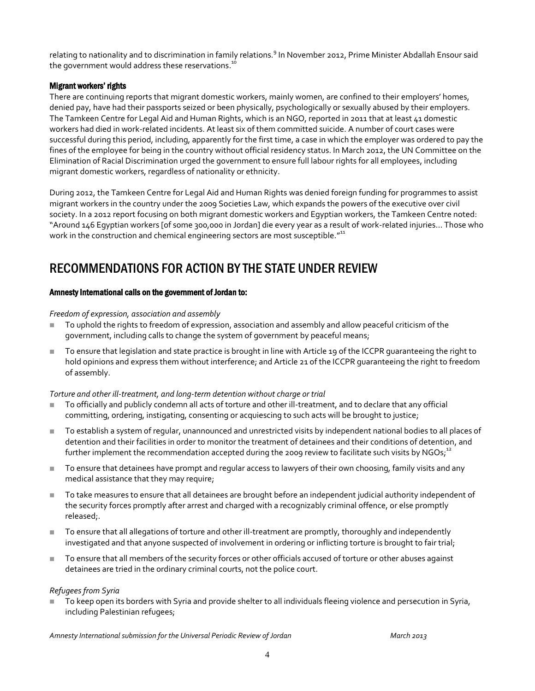relating to nationality and to discrimination in family relations.<sup>9</sup> In November 2012, Prime Minister Abdallah Ensour said the government would address these reservations.<sup>10</sup>

### Migrant workers' rights

There are continuing reports that migrant domestic workers, mainly women, are confined to their employers' homes, denied pay, have had their passports seized or been physically, psychologically or sexually abused by their employers. The Tamkeen Centre for Legal Aid and Human Rights, which is an NGO, reported in 2011 that at least 41 domestic workers had died in work-related incidents. At least six of them committed suicide. A number of court cases were successful during this period, including, apparently for the first time, a case in which the employer was ordered to pay the fines of the employee for being in the country without official residency status. In March 2012, the UN Committee on the Elimination of Racial Discrimination urged the government to ensure full labour rights for all employees, including migrant domestic workers, regardless of nationality or ethnicity.

During 2012, the Tamkeen Centre for Legal Aid and Human Rights was denied foreign funding for programmes to assist migrant workers in the country under the 2009 Societies Law, which expands the powers of the executive over civil society. In a 2012 report focusing on both migrant domestic workers and Egyptian workers, the Tamkeen Centre noted: "Around 146 Egyptian workers [of some 300,000 in Jordan] die every year as a result of work-related injuries… Those who work in the construction and chemical engineering sectors are most susceptible."<sup>11</sup>

### RECOMMENDATIONS FOR ACTION BY THE STATE UNDER REVIEW

### Amnesty International calls on the government of Jordan to:

#### *Freedom of expression, association and assembly*

- To uphold the rights to freedom of expression, association and assembly and allow peaceful criticism of the government, including calls to change the system of government by peaceful means;
- To ensure that legislation and state practice is brought in line with Article 19 of the ICCPR guaranteeing the right to hold opinions and express them without interference; and Article 21 of the ICCPR guaranteeing the right to freedom of assembly.

### *Torture and other ill-treatment, and long-term detention without charge or trial*

- To officially and publicly condemn all acts of torture and other ill-treatment, and to declare that any official committing, ordering, instigating, consenting or acquiescing to such acts will be brought to justice;
- To establish a system of regular, unannounced and unrestricted visits by independent national bodies to all places of detention and their facilities in order to monitor the treatment of detainees and their conditions of detention, and further implement the recommendation accepted during the 2009 review to facilitate such visits by NGOs; $^{\text{12}}$
- To ensure that detainees have prompt and regular access to lawyers of their own choosing, family visits and any medical assistance that they may require;
- To take measures to ensure that all detainees are brought before an independent judicial authority independent of the security forces promptly after arrest and charged with a recognizably criminal offence, or else promptly released;.
- To ensure that all allegations of torture and other ill-treatment are promptly, thoroughly and independently investigated and that anyone suspected of involvement in ordering or inflicting torture is brought to fair trial;
- To ensure that all members of the security forces or other officials accused of torture or other abuses against detainees are tried in the ordinary criminal courts, not the police court.

### *Refugees from Syria*

 To keep open its borders with Syria and provide shelter to all individuals fleeing violence and persecution in Syria, including Palestinian refugees;

*Amnesty International submission for the Universal Periodic Review of Jordan March 2013*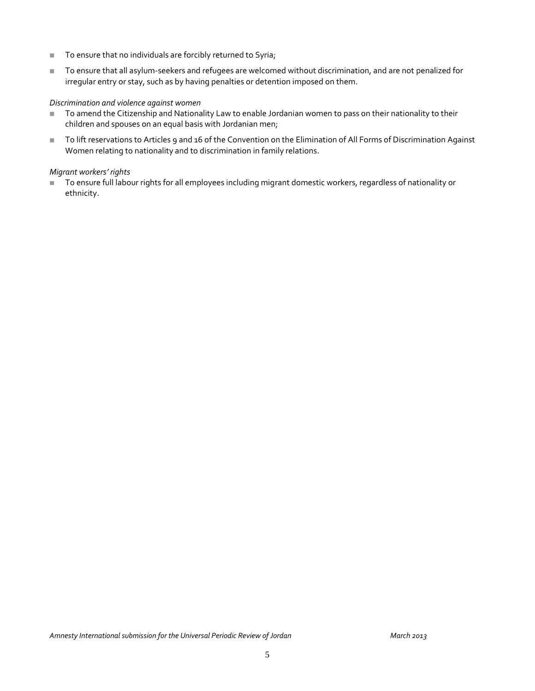- To ensure that no individuals are forcibly returned to Syria;
- To ensure that all asylum-seekers and refugees are welcomed without discrimination, and are not penalized for irregular entry or stay, such as by having penalties or detention imposed on them.

#### *Discrimination and violence against women*

- To amend the Citizenship and Nationality Law to enable Jordanian women to pass on their nationality to their children and spouses on an equal basis with Jordanian men;
- To lift reservations to Articles 9 and 16 of the Convention on the Elimination of All Forms of Discrimination Against Women relating to nationality and to discrimination in family relations.

#### *Migrant workers' rights*

■ To ensure full labour rights for all employees including migrant domestic workers, regardless of nationality or ethnicity.